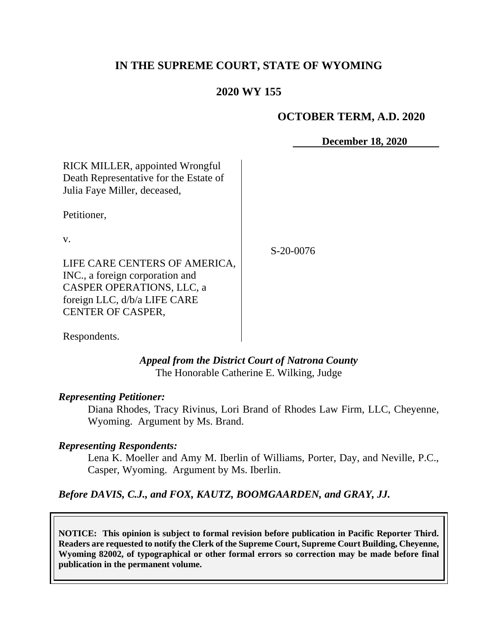# **IN THE SUPREME COURT, STATE OF WYOMING**

## **2020 WY 155**

### **OCTOBER TERM, A.D. 2020**

**December 18, 2020** 

RICK MILLER, appointed Wrongful Death Representative for the Estate of Julia Faye Miller, deceased,

Petitioner,

v.

LIFE CARE CENTERS OF AMERICA, INC., a foreign corporation and CASPER OPERATIONS, LLC, a foreign LLC, d/b/a LIFE CARE CENTER OF CASPER,

S-20-0076

Respondents.

### *Appeal from the District Court of Natrona County* The Honorable Catherine E. Wilking, Judge

### *Representing Petitioner:*

Diana Rhodes, Tracy Rivinus, Lori Brand of Rhodes Law Firm, LLC, Cheyenne, Wyoming. Argument by Ms. Brand.

#### *Representing Respondents:*

Lena K. Moeller and Amy M. Iberlin of Williams, Porter, Day, and Neville, P.C., Casper, Wyoming. Argument by Ms. Iberlin.

### *Before DAVIS, C.J., and FOX, KAUTZ, BOOMGAARDEN, and GRAY, JJ.*

**NOTICE: This opinion is subject to formal revision before publication in Pacific Reporter Third. Readers are requested to notify the Clerk of the Supreme Court, Supreme Court Building, Cheyenne, Wyoming 82002, of typographical or other formal errors so correction may be made before final publication in the permanent volume.**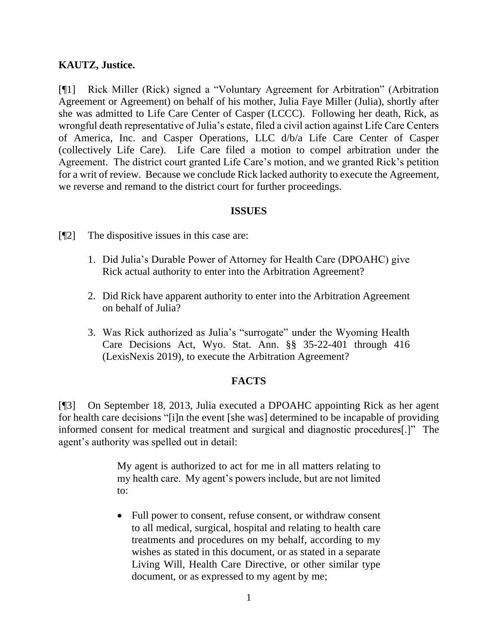## **KAUTZ, Justice.**

[¶1] Rick Miller (Rick) signed a "Voluntary Agreement for Arbitration" (Arbitration Agreement or Agreement) on behalf of his mother, Julia Faye Miller (Julia), shortly after she was admitted to Life Care Center of Casper (LCCC). Following her death, Rick, as wrongful death representative of Julia's estate, filed a civil action against Life Care Centers of America, Inc. and Casper Operations, LLC d/b/a Life Care Center of Casper (collectively Life Care). Life Care filed a motion to compel arbitration under the Agreement. The district court granted Life Care's motion, and we granted Rick's petition for a writ of review. Because we conclude Rick lacked authority to execute the Agreement, we reverse and remand to the district court for further proceedings.

### **ISSUES**

[¶2] The dispositive issues in this case are:

- 1. Did Julia's Durable Power of Attorney for Health Care (DPOAHC) give Rick actual authority to enter into the Arbitration Agreement?
- 2. Did Rick have apparent authority to enter into the Arbitration Agreement on behalf of Julia?
- 3. Was Rick authorized as Julia's "surrogate" under the Wyoming Health Care Decisions Act, Wyo. Stat. Ann. §§ 35-22-401 through 416 (LexisNexis 2019), to execute the Arbitration Agreement?

## **FACTS**

[¶3] On September 18, 2013, Julia executed a DPOAHC appointing Rick as her agent for health care decisions "[i]n the event [she was] determined to be incapable of providing informed consent for medical treatment and surgical and diagnostic procedures[.]" The agent's authority was spelled out in detail:

> My agent is authorized to act for me in all matters relating to my health care. My agent's powers include, but are not limited to:

> • Full power to consent, refuse consent, or withdraw consent to all medical, surgical, hospital and relating to health care treatments and procedures on my behalf, according to my wishes as stated in this document, or as stated in a separate Living Will, Health Care Directive, or other similar type document, or as expressed to my agent by me;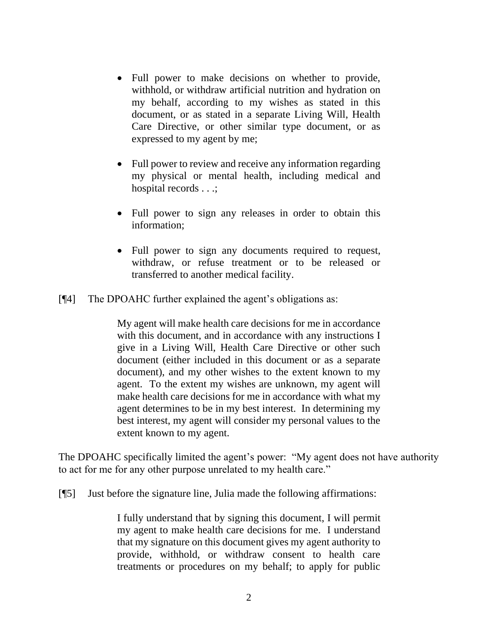- Full power to make decisions on whether to provide, withhold, or withdraw artificial nutrition and hydration on my behalf, according to my wishes as stated in this document, or as stated in a separate Living Will, Health Care Directive, or other similar type document, or as expressed to my agent by me;
- Full power to review and receive any information regarding my physical or mental health, including medical and hospital records . . .;
- Full power to sign any releases in order to obtain this information;
- Full power to sign any documents required to request, withdraw, or refuse treatment or to be released or transferred to another medical facility.
- [¶4] The DPOAHC further explained the agent's obligations as:

My agent will make health care decisions for me in accordance with this document, and in accordance with any instructions I give in a Living Will, Health Care Directive or other such document (either included in this document or as a separate document), and my other wishes to the extent known to my agent. To the extent my wishes are unknown, my agent will make health care decisions for me in accordance with what my agent determines to be in my best interest. In determining my best interest, my agent will consider my personal values to the extent known to my agent.

The DPOAHC specifically limited the agent's power: "My agent does not have authority to act for me for any other purpose unrelated to my health care."

[¶5] Just before the signature line, Julia made the following affirmations:

I fully understand that by signing this document, I will permit my agent to make health care decisions for me. I understand that my signature on this document gives my agent authority to provide, withhold, or withdraw consent to health care treatments or procedures on my behalf; to apply for public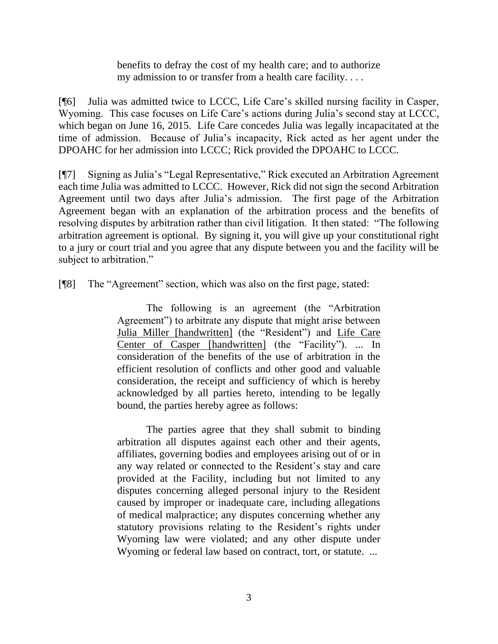benefits to defray the cost of my health care; and to authorize my admission to or transfer from a health care facility. . . .

[¶6] Julia was admitted twice to LCCC, Life Care's skilled nursing facility in Casper, Wyoming. This case focuses on Life Care's actions during Julia's second stay at LCCC, which began on June 16, 2015. Life Care concedes Julia was legally incapacitated at the time of admission. Because of Julia's incapacity, Rick acted as her agent under the DPOAHC for her admission into LCCC; Rick provided the DPOAHC to LCCC.

[¶7] Signing as Julia's "Legal Representative," Rick executed an Arbitration Agreement each time Julia was admitted to LCCC. However, Rick did not sign the second Arbitration Agreement until two days after Julia's admission. The first page of the Arbitration Agreement began with an explanation of the arbitration process and the benefits of resolving disputes by arbitration rather than civil litigation. It then stated: "The following arbitration agreement is optional. By signing it, you will give up your constitutional right to a jury or court trial and you agree that any dispute between you and the facility will be subject to arbitration."

[¶8] The "Agreement" section, which was also on the first page, stated:

The following is an agreement (the "Arbitration Agreement") to arbitrate any dispute that might arise between Julia Miller [handwritten] (the "Resident") and Life Care Center of Casper [handwritten] (the "Facility"). ... In consideration of the benefits of the use of arbitration in the efficient resolution of conflicts and other good and valuable consideration, the receipt and sufficiency of which is hereby acknowledged by all parties hereto, intending to be legally bound, the parties hereby agree as follows:

The parties agree that they shall submit to binding arbitration all disputes against each other and their agents, affiliates, governing bodies and employees arising out of or in any way related or connected to the Resident's stay and care provided at the Facility, including but not limited to any disputes concerning alleged personal injury to the Resident caused by improper or inadequate care, including allegations of medical malpractice; any disputes concerning whether any statutory provisions relating to the Resident's rights under Wyoming law were violated; and any other dispute under Wyoming or federal law based on contract, tort, or statute. ...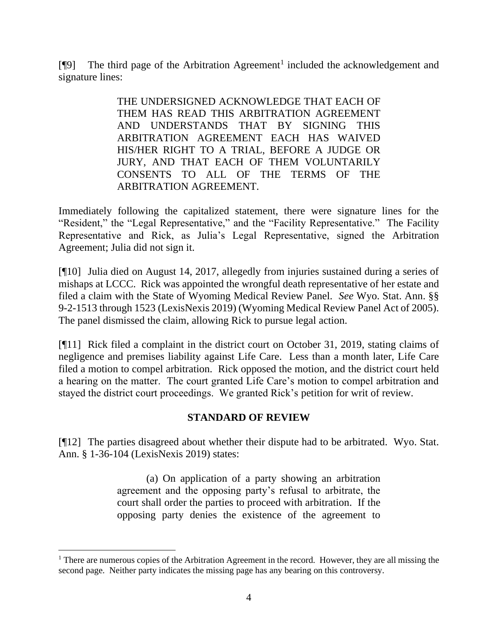[ $[$ [9] The third page of the Arbitration Agreement<sup>1</sup> included the acknowledgement and signature lines:

> THE UNDERSIGNED ACKNOWLEDGE THAT EACH OF THEM HAS READ THIS ARBITRATION AGREEMENT AND UNDERSTANDS THAT BY SIGNING THIS ARBITRATION AGREEMENT EACH HAS WAIVED HIS/HER RIGHT TO A TRIAL, BEFORE A JUDGE OR JURY, AND THAT EACH OF THEM VOLUNTARILY CONSENTS TO ALL OF THE TERMS OF THE ARBITRATION AGREEMENT.

Immediately following the capitalized statement, there were signature lines for the "Resident," the "Legal Representative," and the "Facility Representative." The Facility Representative and Rick, as Julia's Legal Representative, signed the Arbitration Agreement; Julia did not sign it.

[¶10] Julia died on August 14, 2017, allegedly from injuries sustained during a series of mishaps at LCCC. Rick was appointed the wrongful death representative of her estate and filed a claim with the State of Wyoming Medical Review Panel. *See* Wyo. Stat. Ann. §§ 9-2-1513 through 1523 (LexisNexis 2019) (Wyoming Medical Review Panel Act of 2005). The panel dismissed the claim, allowing Rick to pursue legal action.

[¶11] Rick filed a complaint in the district court on October 31, 2019, stating claims of negligence and premises liability against Life Care. Less than a month later, Life Care filed a motion to compel arbitration. Rick opposed the motion, and the district court held a hearing on the matter. The court granted Life Care's motion to compel arbitration and stayed the district court proceedings. We granted Rick's petition for writ of review.

## **STANDARD OF REVIEW**

[¶12] The parties disagreed about whether their dispute had to be arbitrated. Wyo. Stat. Ann. § 1-36-104 (LexisNexis 2019) states:

> (a) On application of a party showing an arbitration agreement and the opposing party's refusal to arbitrate, the court shall order the parties to proceed with arbitration. If the opposing party denies the existence of the agreement to

 $1$  There are numerous copies of the Arbitration Agreement in the record. However, they are all missing the second page. Neither party indicates the missing page has any bearing on this controversy.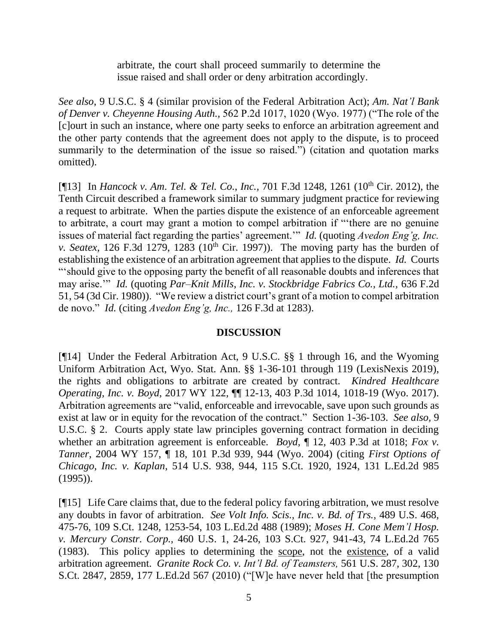arbitrate, the court shall proceed summarily to determine the issue raised and shall order or deny arbitration accordingly.

*See also,* 9 U.S.C. § 4 (similar provision of the Federal Arbitration Act); *Am. Nat'l Bank of Denver v. Cheyenne Housing Auth.,* 562 P.2d 1017, 1020 (Wyo. 1977) ("The role of the [c]ourt in such an instance, where one party seeks to enforce an arbitration agreement and the other party contends that the agreement does not apply to the dispute, is to proceed summarily to the determination of the issue so raised.") (citation and quotation marks omitted).

[¶13] In *Hancock v. Am. Tel. & Tel. Co., Inc.,* 701 F.3d 1248, 1261 (10th Cir. 2012), the Tenth Circuit described a framework similar to summary judgment practice for reviewing a request to arbitrate. When the parties dispute the existence of an enforceable agreement to arbitrate, a court may grant a motion to compel arbitration if "'there are no genuine issues of material fact regarding the parties' agreement.'" *Id.* (quoting *Avedon Eng'g, Inc. v. Seatex,* 126 F.3d 1279, 1283 ( $10<sup>th</sup>$  Cir. 1997)). The moving party has the burden of establishing the existence of an arbitration agreement that applies to the dispute. *Id.* Courts "'should give to the opposing party the benefit of all reasonable doubts and inferences that may arise.'" *Id.* (quoting *Par–Knit Mills, Inc. v. Stockbridge Fabrics Co., Ltd.,* 636 F.2d 51, 54 (3d Cir. 1980)). "We review a district court's grant of a motion to compel arbitration de novo." *Id.* (citing *Avedon Eng'g, Inc.,* 126 F.3d at 1283).

### **DISCUSSION**

[¶14] Under the Federal Arbitration Act, 9 U.S.C. §§ 1 through 16, and the Wyoming Uniform Arbitration Act, Wyo. Stat. Ann. §§ 1-36-101 through 119 (LexisNexis 2019), the rights and obligations to arbitrate are created by contract. *Kindred Healthcare Operating, Inc. v. Boyd,* 2017 WY 122*,* ¶¶ 12-13, 403 P.3d 1014, 1018-19 (Wyo. 2017). Arbitration agreements are "valid, enforceable and irrevocable, save upon such grounds as exist at law or in equity for the revocation of the contract." Section 1-36-103. *See also,* 9 U.S.C. § 2. Courts apply state law principles governing contract formation in deciding whether an arbitration agreement is enforceable. *Boyd*, ¶ 12, 403 P.3d at 1018; *Fox v. Tanner*, 2004 WY 157, ¶ 18, 101 P.3d 939, 944 (Wyo. 2004) (citing *First Options of Chicago, Inc. v. Kaplan*, 514 U.S. 938, 944, 115 S.Ct. 1920, 1924, 131 L.Ed.2d 985 (1995)).

[¶15] Life Care claims that, due to the federal policy favoring arbitration, we must resolve any doubts in favor of arbitration. *See Volt Info. Scis., Inc. v. Bd. of Trs.,* 489 U.S. 468, 475-76, 109 S.Ct. 1248, 1253-54, 103 L.Ed.2d 488 (1989); *Moses H. Cone Mem'l Hosp. v. Mercury Constr. Corp.,* 460 U.S. 1, 24-26, 103 S.Ct. 927, 941-43, 74 L.Ed.2d 765 (1983). This policy applies to determining the scope, not the existence, of a valid arbitration agreement. *Granite Rock Co. v. Int'l Bd. of Teamsters,* 561 U.S. 287, 302, 130 S.Ct. 2847, 2859, 177 L.Ed.2d 567 (2010) ("[W]e have never held that [the presumption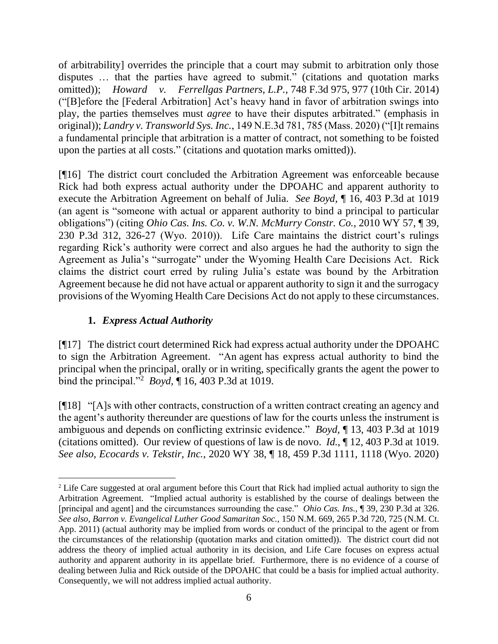of arbitrability] overrides the principle that a court may submit to arbitration only those disputes … that the parties have agreed to submit." (citations and quotation marks omitted)); *Howard v. Ferrellgas Partners, L.P.*, 748 F.3d 975, 977 (10th Cir. 2014) ("[B]efore the [Federal Arbitration] Act's heavy hand in favor of arbitration swings into play, the parties themselves must *agree* to have their disputes arbitrated." (emphasis in original)); *Landry v. Transworld Sys. Inc.*, 149 N.E.3d 781, 785 (Mass. 2020) ("[I]t remains a fundamental principle that arbitration is a matter of contract, not something to be foisted upon the parties at all costs." (citations and quotation marks omitted)).

[¶16] The district court concluded the Arbitration Agreement was enforceable because Rick had both express actual authority under the DPOAHC and apparent authority to execute the Arbitration Agreement on behalf of Julia. *See Boyd,* ¶ 16, 403 P.3d at 1019 (an agent is "someone with actual or apparent authority to bind a principal to particular obligations") (citing *Ohio Cas. Ins. Co. v. W.N. McMurry Constr. Co.,* 2010 WY 57, ¶ 39, 230 P.3d 312, 326-27 (Wyo. 2010)). Life Care maintains the district court's rulings regarding Rick's authority were correct and also argues he had the authority to sign the Agreement as Julia's "surrogate" under the Wyoming Health Care Decisions Act. Rick claims the district court erred by ruling Julia's estate was bound by the Arbitration Agreement because he did not have actual or apparent authority to sign it and the surrogacy provisions of the Wyoming Health Care Decisions Act do not apply to these circumstances.

# **1.** *Express Actual Authority*

[¶17] The district court determined Rick had express actual authority under the DPOAHC to sign the Arbitration Agreement. "An agent has express actual authority to bind the principal when the principal, orally or in writing, specifically grants the agent the power to bind the principal."<sup>2</sup> *Boyd,* ¶ 16, 403 P.3d at 1019.

[¶18] "[A]s with other contracts, construction of a written contract creating an agency and the agent's authority thereunder are questions of law for the courts unless the instrument is ambiguous and depends on conflicting extrinsic evidence." *Boyd,* ¶ 13, 403 P.3d at 1019 (citations omitted). Our review of questions of law is de novo. *Id.*, ¶ 12, 403 P.3d at 1019. *See also, Ecocards v. Tekstir, Inc.,* 2020 WY 38, ¶ 18, 459 P.3d 1111, 1118 (Wyo. 2020)

<sup>&</sup>lt;sup>2</sup> Life Care suggested at oral argument before this Court that Rick had implied actual authority to sign the Arbitration Agreement. "Implied actual authority is established by the course of dealings between the [principal and agent] and the circumstances surrounding the case." *Ohio Cas. Ins.,* ¶ 39, 230 P.3d at 326. *See also, Barron v. Evangelical Luther Good Samaritan Soc.,* 150 N.M. 669, 265 P.3d 720, 725 (N.M. Ct. App. 2011) (actual authority may be implied from words or conduct of the principal to the agent or from the circumstances of the relationship (quotation marks and citation omitted)). The district court did not address the theory of implied actual authority in its decision, and Life Care focuses on express actual authority and apparent authority in its appellate brief. Furthermore, there is no evidence of a course of dealing between Julia and Rick outside of the DPOAHC that could be a basis for implied actual authority. Consequently, we will not address implied actual authority.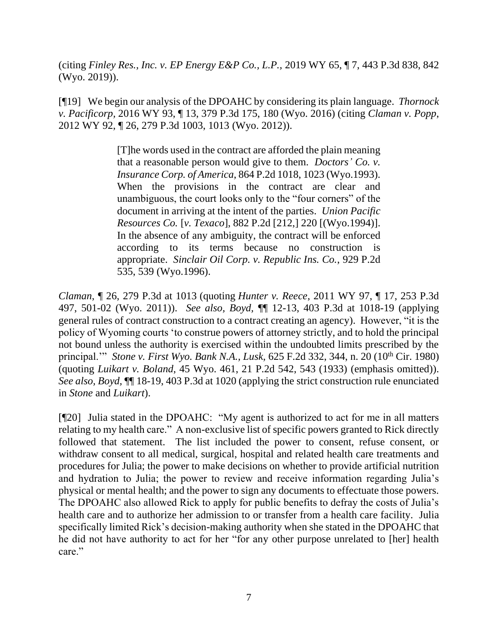(citing *Finley Res., Inc. v. EP Energy E&P Co., L.P.,* 2019 WY 65, ¶ 7, 443 P.3d 838, 842 (Wyo. 2019)).

[¶19] We begin our analysis of the DPOAHC by considering its plain language. *Thornock v. Pacificorp,* 2016 WY 93, ¶ 13, 379 P.3d 175, 180 (Wyo. 2016) (citing *Claman v. Popp*, 2012 WY 92, ¶ 26, 279 P.3d 1003, 1013 (Wyo. 2012)).

> [T]he words used in the contract are afforded the plain meaning that a reasonable person would give to them. *Doctors' Co. v. Insurance Corp. of America*, 864 P.2d 1018, 1023 (Wyo.1993). When the provisions in the contract are clear and unambiguous, the court looks only to the "four corners" of the document in arriving at the intent of the parties. *Union Pacific Resources Co.* [*v. Texaco*], 882 P.2d [212,] 220 [(Wyo.1994)]. In the absence of any ambiguity, the contract will be enforced according to its terms because no construction is appropriate. *Sinclair Oil Corp. v. Republic Ins. Co.*, 929 P.2d 535, 539 (Wyo.1996).

*Claman*, ¶ 26, 279 P.3d at 1013 (quoting *Hunter v. Reece*, 2011 WY 97, ¶ 17, 253 P.3d 497, 501-02 (Wyo. 2011)). *See also, Boyd,* ¶¶ 12-13, 403 P.3d at 1018-19 (applying general rules of contract construction to a contract creating an agency). However, "it is the policy of Wyoming courts 'to construe powers of attorney strictly, and to hold the principal not bound unless the authority is exercised within the undoubted limits prescribed by the principal.'" *Stone v. First Wyo. Bank N.A., Lusk,* 625 F.2d 332, 344, n. 20 (10th Cir. 1980) (quoting *Luikart v. Boland*, 45 Wyo. 461, 21 P.2d 542, 543 (1933) (emphasis omitted)). *See also, Boyd,* ¶¶ 18-19, 403 P.3d at 1020 (applying the strict construction rule enunciated in *Stone* and *Luikart*).

[¶20] Julia stated in the DPOAHC: "My agent is authorized to act for me in all matters relating to my health care." A non-exclusive list of specific powers granted to Rick directly followed that statement. The list included the power to consent, refuse consent, or withdraw consent to all medical, surgical, hospital and related health care treatments and procedures for Julia; the power to make decisions on whether to provide artificial nutrition and hydration to Julia; the power to review and receive information regarding Julia's physical or mental health; and the power to sign any documents to effectuate those powers. The DPOAHC also allowed Rick to apply for public benefits to defray the costs of Julia's health care and to authorize her admission to or transfer from a health care facility. Julia specifically limited Rick's decision-making authority when she stated in the DPOAHC that he did not have authority to act for her "for any other purpose unrelated to [her] health care."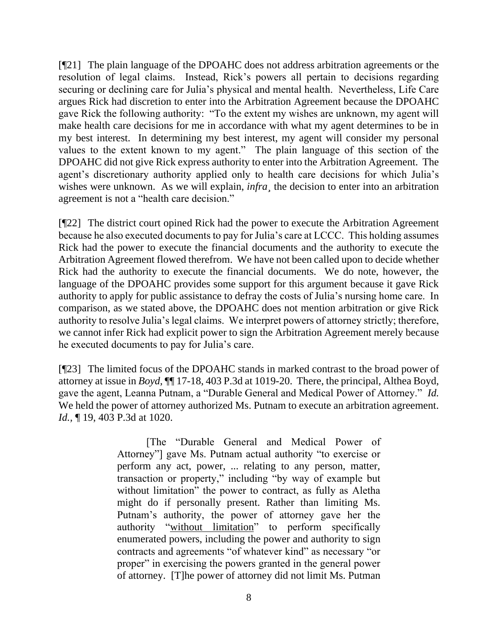[¶21] The plain language of the DPOAHC does not address arbitration agreements or the resolution of legal claims. Instead, Rick's powers all pertain to decisions regarding securing or declining care for Julia's physical and mental health. Nevertheless, Life Care argues Rick had discretion to enter into the Arbitration Agreement because the DPOAHC gave Rick the following authority: "To the extent my wishes are unknown, my agent will make health care decisions for me in accordance with what my agent determines to be in my best interest. In determining my best interest, my agent will consider my personal values to the extent known to my agent." The plain language of this section of the DPOAHC did not give Rick express authority to enter into the Arbitration Agreement. The agent's discretionary authority applied only to health care decisions for which Julia's wishes were unknown. As we will explain, *infra*, the decision to enter into an arbitration agreement is not a "health care decision."

[¶22] The district court opined Rick had the power to execute the Arbitration Agreement because he also executed documents to pay for Julia's care at LCCC. This holding assumes Rick had the power to execute the financial documents and the authority to execute the Arbitration Agreement flowed therefrom. We have not been called upon to decide whether Rick had the authority to execute the financial documents. We do note, however, the language of the DPOAHC provides some support for this argument because it gave Rick authority to apply for public assistance to defray the costs of Julia's nursing home care. In comparison, as we stated above, the DPOAHC does not mention arbitration or give Rick authority to resolve Julia's legal claims. We interpret powers of attorney strictly; therefore, we cannot infer Rick had explicit power to sign the Arbitration Agreement merely because he executed documents to pay for Julia's care.

[¶23] The limited focus of the DPOAHC stands in marked contrast to the broad power of attorney at issue in *Boyd,* ¶¶ 17-18, 403 P.3d at 1019-20. There, the principal, Althea Boyd, gave the agent, Leanna Putnam, a "Durable General and Medical Power of Attorney." *Id.*  We held the power of attorney authorized Ms. Putnam to execute an arbitration agreement. *Id.,* ¶ 19, 403 P.3d at 1020.

> [The "Durable General and Medical Power of Attorney"] gave Ms. Putnam actual authority "to exercise or perform any act, power, ... relating to any person, matter, transaction or property," including "by way of example but without limitation" the power to contract, as fully as Aletha might do if personally present. Rather than limiting Ms. Putnam's authority, the power of attorney gave her the authority "without limitation" to perform specifically enumerated powers, including the power and authority to sign contracts and agreements "of whatever kind" as necessary "or proper" in exercising the powers granted in the general power of attorney. [T]he power of attorney did not limit Ms. Putman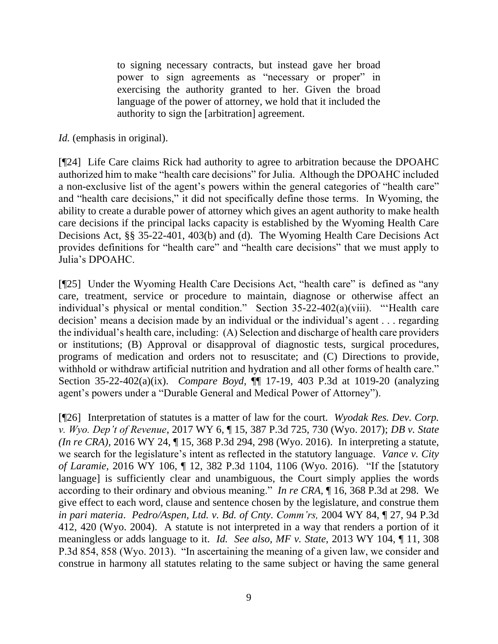to signing necessary contracts, but instead gave her broad power to sign agreements as "necessary or proper" in exercising the authority granted to her. Given the broad language of the power of attorney, we hold that it included the authority to sign the [arbitration] agreement.

*Id.* (emphasis in original).

[¶24] Life Care claims Rick had authority to agree to arbitration because the DPOAHC authorized him to make "health care decisions" for Julia. Although the DPOAHC included a non-exclusive list of the agent's powers within the general categories of "health care" and "health care decisions," it did not specifically define those terms. In Wyoming, the ability to create a durable power of attorney which gives an agent authority to make health care decisions if the principal lacks capacity is established by the Wyoming Health Care Decisions Act, §§ 35-22-401, 403(b) and (d). The Wyoming Health Care Decisions Act provides definitions for "health care" and "health care decisions" that we must apply to Julia's DPOAHC.

[¶25] Under the Wyoming Health Care Decisions Act, "health care" is defined as "any care, treatment, service or procedure to maintain, diagnose or otherwise affect an individual's physical or mental condition." Section 35-22-402(a)(viii). "'Health care decision' means a decision made by an individual or the individual's agent . . . regarding the individual's health care, including: (A) Selection and discharge of health care providers or institutions; (B) Approval or disapproval of diagnostic tests, surgical procedures, programs of medication and orders not to resuscitate; and (C) Directions to provide, withhold or withdraw artificial nutrition and hydration and all other forms of health care." Section 35-22-402(a)(ix). *Compare Boyd,* ¶¶ 17-19, 403 P.3d at 1019-20 (analyzing agent's powers under a "Durable General and Medical Power of Attorney").

[¶26] Interpretation of statutes is a matter of law for the court. *Wyodak Res. Dev. Corp. v. Wyo. Dep't of Revenue*, 2017 WY 6, ¶ 15, 387 P.3d 725, 730 (Wyo. 2017); *DB v. State (In re CRA),* 2016 WY 24, ¶ 15, 368 P.3d 294, 298 (Wyo. 2016).In interpreting a statute, we search for the legislature's intent as reflected in the statutory language. *Vance v. City of Laramie,* 2016 WY 106, ¶ 12, 382 P.3d 1104, 1106 (Wyo. 2016)."If the [statutory language] is sufficiently clear and unambiguous, the Court simply applies the words according to their ordinary and obvious meaning." *In re CRA,* ¶ 16, 368 P.3d at 298. We give effect to each word, clause and sentence chosen by the legislature, and construe them *in pari materia*. *Pedro/Aspen, Ltd. v. Bd. of Cnty. Comm'rs,* 2004 WY 84, ¶ 27, 94 P.3d 412, 420 (Wyo. 2004). A statute is not interpreted in a way that renders a portion of it meaningless or adds language to it. *Id. See also, MF v. State,* 2013 WY 104, ¶ 11, 308 P.3d 854, 858 (Wyo. 2013). "In ascertaining the meaning of a given law, we consider and construe in harmony all statutes relating to the same subject or having the same general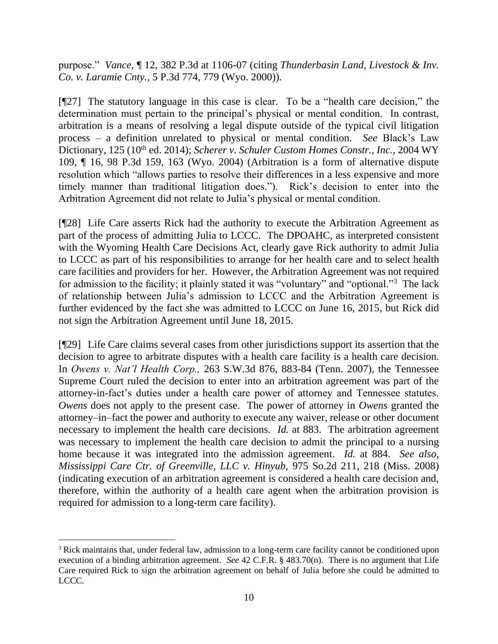purpose." *Vance,* ¶ 12, 382 P.3d at 1106-07 (citing *Thunderbasin Land, Livestock & Inv. Co. v. Laramie Cnty.,* 5 P.3d 774, 779 (Wyo. 2000)).

[¶27] The statutory language in this case is clear. To be a "health care decision," the determination must pertain to the principal's physical or mental condition. In contrast, arbitration is a means of resolving a legal dispute outside of the typical civil litigation process – a definition unrelated to physical or mental condition. *See* Black's Law Dictionary, 125 (10<sup>th</sup> ed. 2014); *Scherer v. Schuler Custom Homes Constr., Inc.,* 2004 WY 109, ¶ 16, 98 P.3d 159, 163 (Wyo. 2004) (Arbitration is a form of alternative dispute resolution which "allows parties to resolve their differences in a less expensive and more timely manner than traditional litigation does."). Rick's decision to enter into the Arbitration Agreement did not relate to Julia's physical or mental condition.

[¶28] Life Care asserts Rick had the authority to execute the Arbitration Agreement as part of the process of admitting Julia to LCCC. The DPOAHC, as interpreted consistent with the Wyoming Health Care Decisions Act, clearly gave Rick authority to admit Julia to LCCC as part of his responsibilities to arrange for her health care and to select health care facilities and providers for her. However, the Arbitration Agreement was not required for admission to the facility; it plainly stated it was "voluntary" and "optional."<sup>3</sup> The lack of relationship between Julia's admission to LCCC and the Arbitration Agreement is further evidenced by the fact she was admitted to LCCC on June 16, 2015, but Rick did not sign the Arbitration Agreement until June 18, 2015.

[¶29] Life Care claims several cases from other jurisdictions support its assertion that the decision to agree to arbitrate disputes with a health care facility is a health care decision. In *Owens v. Nat'l Health Corp.,* 263 S.W.3d 876, 883-84 (Tenn. 2007), the Tennessee Supreme Court ruled the decision to enter into an arbitration agreement was part of the attorney-in-fact's duties under a health care power of attorney and Tennessee statutes. *Owens* does not apply to the present case. The power of attorney in *Owens* granted the attorney–in–fact the power and authority to execute any waiver, release or other document necessary to implement the health care decisions. *Id.* at 883. The arbitration agreement was necessary to implement the health care decision to admit the principal to a nursing home because it was integrated into the admission agreement. *Id.* at 884. *See also, Mississippi Care Ctr. of Greenville, LLC v. Hinyub,* 975 So.2d 211, 218 (Miss. 2008) (indicating execution of an arbitration agreement is considered a health care decision and, therefore, within the authority of a health care agent when the arbitration provision is required for admission to a long-term care facility).

<sup>&</sup>lt;sup>3</sup> Rick maintains that, under federal law, admission to a long-term care facility cannot be conditioned upon execution of a binding arbitration agreement. *See* 42 C.F.R. § 483.70(n). There is no argument that Life Care required Rick to sign the arbitration agreement on behalf of Julia before she could be admitted to LCCC.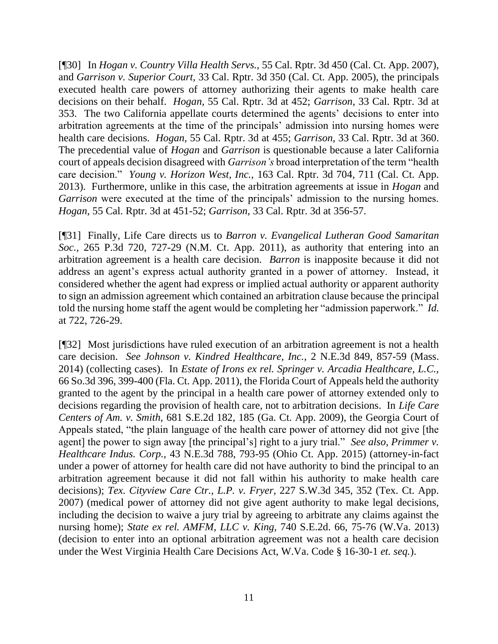[¶30] In *Hogan v. Country Villa Health Servs.,* 55 Cal. Rptr. 3d 450 (Cal. Ct. App. 2007), and *Garrison v. Superior Court,* 33 Cal. Rptr. 3d 350 (Cal. Ct. App. 2005), the principals executed health care powers of attorney authorizing their agents to make health care decisions on their behalf. *Hogan,* 55 Cal. Rptr. 3d at 452; *Garrison,* 33 Cal. Rptr. 3d at 353. The two California appellate courts determined the agents' decisions to enter into arbitration agreements at the time of the principals' admission into nursing homes were health care decisions. *Hogan,* 55 Cal. Rptr. 3d at 455; *Garrison,* 33 Cal. Rptr. 3d at 360. The precedential value of *Hogan* and *Garrison* is questionable because a later California court of appeals decision disagreed with *Garrison's* broad interpretation of the term "health care decision." *Young v. Horizon West, Inc.,* 163 Cal. Rptr. 3d 704, 711 (Cal. Ct. App. 2013). Furthermore, unlike in this case, the arbitration agreements at issue in *Hogan* and *Garrison* were executed at the time of the principals' admission to the nursing homes. *Hogan,* 55 Cal. Rptr. 3d at 451-52; *Garrison,* 33 Cal. Rptr. 3d at 356-57.

[¶31] Finally, Life Care directs us to *Barron v. Evangelical Lutheran Good Samaritan Soc.,* 265 P.3d 720, 727-29 (N.M. Ct. App. 2011), as authority that entering into an arbitration agreement is a health care decision. *Barron* is inapposite because it did not address an agent's express actual authority granted in a power of attorney. Instead, it considered whether the agent had express or implied actual authority or apparent authority to sign an admission agreement which contained an arbitration clause because the principal told the nursing home staff the agent would be completing her "admission paperwork." *Id.*  at 722, 726-29.

[¶32] Most jurisdictions have ruled execution of an arbitration agreement is not a health care decision. *See Johnson v. Kindred Healthcare, Inc.,* 2 N.E.3d 849, 857-59 (Mass. 2014) (collecting cases). In *Estate of Irons ex rel. Springer v. Arcadia Healthcare, L.C.,*  66 So.3d 396, 399-400 (Fla. Ct. App. 2011), the Florida Court of Appeals held the authority granted to the agent by the principal in a health care power of attorney extended only to decisions regarding the provision of health care, not to arbitration decisions. In *Life Care Centers of Am. v. Smith,* 681 S.E.2d 182, 185 (Ga. Ct. App. 2009), the Georgia Court of Appeals stated, "the plain language of the health care power of attorney did not give [the agent] the power to sign away [the principal's] right to a jury trial." *See also, Primmer v. Healthcare Indus. Corp.,* 43 N.E.3d 788, 793-95 (Ohio Ct. App. 2015) (attorney-in-fact under a power of attorney for health care did not have authority to bind the principal to an arbitration agreement because it did not fall within his authority to make health care decisions); *Tex. Cityview Care Ctr., L.P. v. Fryer,* 227 S.W.3d 345, 352 (Tex. Ct. App. 2007) (medical power of attorney did not give agent authority to make legal decisions, including the decision to waive a jury trial by agreeing to arbitrate any claims against the nursing home); *State ex rel. AMFM, LLC v. King,* 740 S.E.2d. 66, 75-76 (W.Va. 2013) (decision to enter into an optional arbitration agreement was not a health care decision under the West Virginia Health Care Decisions Act, W.Va. Code § 16-30-1 *et. seq.*).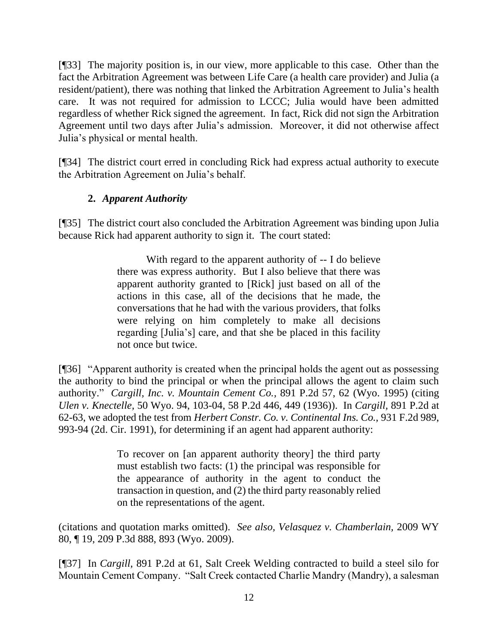[¶33] The majority position is, in our view, more applicable to this case. Other than the fact the Arbitration Agreement was between Life Care (a health care provider) and Julia (a resident/patient), there was nothing that linked the Arbitration Agreement to Julia's health care. It was not required for admission to LCCC; Julia would have been admitted regardless of whether Rick signed the agreement. In fact, Rick did not sign the Arbitration Agreement until two days after Julia's admission. Moreover, it did not otherwise affect Julia's physical or mental health.

[¶34] The district court erred in concluding Rick had express actual authority to execute the Arbitration Agreement on Julia's behalf.

# **2.** *Apparent Authority*

[¶35] The district court also concluded the Arbitration Agreement was binding upon Julia because Rick had apparent authority to sign it. The court stated:

> With regard to the apparent authority of -- I do believe there was express authority. But I also believe that there was apparent authority granted to [Rick] just based on all of the actions in this case, all of the decisions that he made, the conversations that he had with the various providers, that folks were relying on him completely to make all decisions regarding [Julia's] care, and that she be placed in this facility not once but twice.

[¶36] "Apparent authority is created when the principal holds the agent out as possessing the authority to bind the principal or when the principal allows the agent to claim such authority." *Cargill, Inc. v. Mountain Cement Co.,* 891 P.2d 57, 62 (Wyo. 1995) (citing *Ulen v. Knectelle,* 50 Wyo. 94, 103-04, 58 P.2d 446, 449 (1936)). In *Cargill,* 891 P.2d at 62-63, we adopted the test from *Herbert Constr. Co. v. Continental Ins. Co.,* 931 F.2d 989, 993-94 (2d. Cir. 1991), for determining if an agent had apparent authority:

> To recover on [an apparent authority theory] the third party must establish two facts: (1) the principal was responsible for the appearance of authority in the agent to conduct the transaction in question, and (2) the third party reasonably relied on the representations of the agent.

(citations and quotation marks omitted). *See also, Velasquez v. Chamberlain,* 2009 WY 80, ¶ 19, 209 P.3d 888, 893 (Wyo. 2009).

[¶37] In *Cargill,* 891 P.2d at 61, Salt Creek Welding contracted to build a steel silo for Mountain Cement Company. "Salt Creek contacted Charlie Mandry (Mandry), a salesman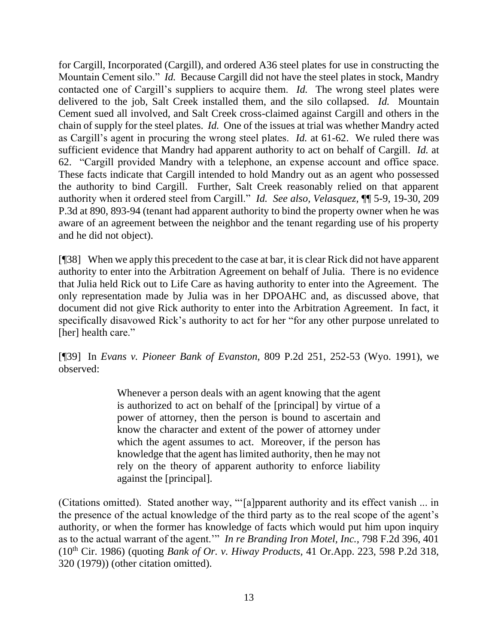for Cargill, Incorporated (Cargill), and ordered A36 steel plates for use in constructing the Mountain Cement silo." *Id.* Because Cargill did not have the steel plates in stock, Mandry contacted one of Cargill's suppliers to acquire them. *Id.* The wrong steel plates were delivered to the job, Salt Creek installed them, and the silo collapsed. *Id.* Mountain Cement sued all involved, and Salt Creek cross-claimed against Cargill and others in the chain of supply for the steel plates. *Id.* One of the issues at trial was whether Mandry acted as Cargill's agent in procuring the wrong steel plates. *Id.* at 61-62. We ruled there was sufficient evidence that Mandry had apparent authority to act on behalf of Cargill. *Id.* at 62. "Cargill provided Mandry with a telephone, an expense account and office space. These facts indicate that Cargill intended to hold Mandry out as an agent who possessed the authority to bind Cargill. Further, Salt Creek reasonably relied on that apparent authority when it ordered steel from Cargill." *Id. See also, Velasquez,* ¶¶ 5-9, 19-30, 209 P.3d at 890, 893-94 (tenant had apparent authority to bind the property owner when he was aware of an agreement between the neighbor and the tenant regarding use of his property and he did not object).

[¶38] When we apply this precedent to the case at bar, it is clear Rick did not have apparent authority to enter into the Arbitration Agreement on behalf of Julia. There is no evidence that Julia held Rick out to Life Care as having authority to enter into the Agreement. The only representation made by Julia was in her DPOAHC and, as discussed above, that document did not give Rick authority to enter into the Arbitration Agreement. In fact, it specifically disavowed Rick's authority to act for her "for any other purpose unrelated to [her] health care."

[¶39] In *Evans v. Pioneer Bank of Evanston,* 809 P.2d 251, 252-53 (Wyo. 1991), we observed:

> Whenever a person deals with an agent knowing that the agent is authorized to act on behalf of the [principal] by virtue of a power of attorney, then the person is bound to ascertain and know the character and extent of the power of attorney under which the agent assumes to act. Moreover, if the person has knowledge that the agent has limited authority, then he may not rely on the theory of apparent authority to enforce liability against the [principal].

(Citations omitted). Stated another way, "'[a]pparent authority and its effect vanish ... in the presence of the actual knowledge of the third party as to the real scope of the agent's authority, or when the former has knowledge of facts which would put him upon inquiry as to the actual warrant of the agent.'" *In re Branding Iron Motel, Inc.,* 798 F.2d 396, 401 (10th Cir. 1986) (quoting *Bank of Or. v. Hiway Products,* 41 Or.App. 223, 598 P.2d 318, 320 (1979)) (other citation omitted).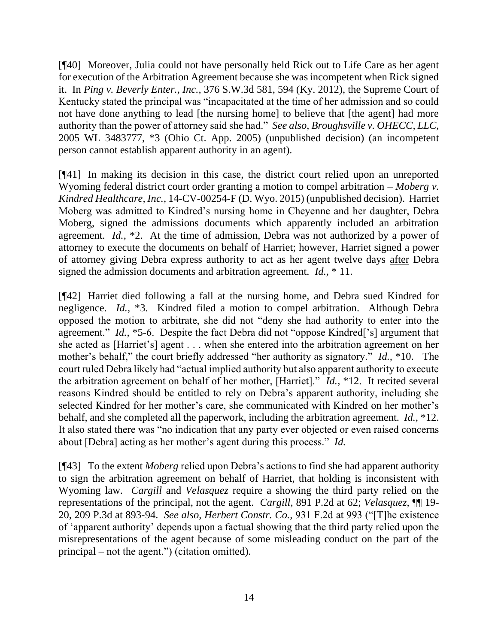[¶40] Moreover, Julia could not have personally held Rick out to Life Care as her agent for execution of the Arbitration Agreement because she was incompetent when Rick signed it. In *Ping v. Beverly Enter., Inc.,* 376 S.W.3d 581, 594 (Ky. 2012), the Supreme Court of Kentucky stated the principal was "incapacitated at the time of her admission and so could not have done anything to lead [the nursing home] to believe that [the agent] had more authority than the power of attorney said she had." *See also, Broughsville v. OHECC, LLC,*  2005 WL 3483777, \*3 (Ohio Ct. App. 2005) (unpublished decision) (an incompetent person cannot establish apparent authority in an agent).

[¶41] In making its decision in this case, the district court relied upon an unreported Wyoming federal district court order granting a motion to compel arbitration – *Moberg v. Kindred Healthcare, Inc.,* 14-CV-00254-F (D. Wyo. 2015) (unpublished decision). Harriet Moberg was admitted to Kindred's nursing home in Cheyenne and her daughter, Debra Moberg, signed the admissions documents which apparently included an arbitration agreement. *Id.,* \*2. At the time of admission, Debra was not authorized by a power of attorney to execute the documents on behalf of Harriet; however, Harriet signed a power of attorney giving Debra express authority to act as her agent twelve days after Debra signed the admission documents and arbitration agreement. *Id.,* \* 11.

[¶42] Harriet died following a fall at the nursing home, and Debra sued Kindred for negligence. *Id.,* \*3. Kindred filed a motion to compel arbitration. Although Debra opposed the motion to arbitrate, she did not "deny she had authority to enter into the agreement." *Id.*, \*5-6. Despite the fact Debra did not "oppose Kindred['s] argument that she acted as [Harriet's] agent . . . when she entered into the arbitration agreement on her mother's behalf," the court briefly addressed "her authority as signatory." *Id.,* \*10. The court ruled Debra likely had "actual implied authority but also apparent authority to execute the arbitration agreement on behalf of her mother, [Harriet]." *Id.,* \*12. It recited several reasons Kindred should be entitled to rely on Debra's apparent authority, including she selected Kindred for her mother's care, she communicated with Kindred on her mother's behalf, and she completed all the paperwork, including the arbitration agreement. *Id.,* \*12. It also stated there was "no indication that any party ever objected or even raised concerns about [Debra] acting as her mother's agent during this process." *Id.*

[¶43] To the extent *Moberg* relied upon Debra's actions to find she had apparent authority to sign the arbitration agreement on behalf of Harriet, that holding is inconsistent with Wyoming law. *Cargill* and *Velasquez* require a showing the third party relied on the representations of the principal, not the agent. *Cargill,* 891 P.2d at 62; *Velasquez,* ¶¶ 19- 20, 209 P.3d at 893-94. *See also, Herbert Constr. Co.,* 931 F.2d at 993 ("[T]he existence of 'apparent authority' depends upon a factual showing that the third party relied upon the misrepresentations of the agent because of some misleading conduct on the part of the principal – not the agent.") (citation omitted).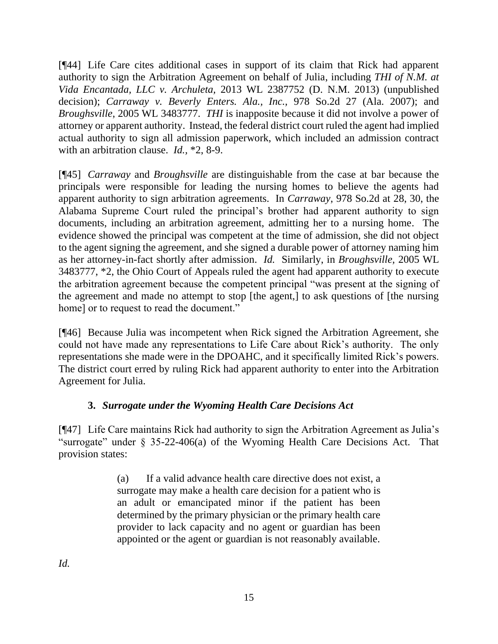[¶44] Life Care cites additional cases in support of its claim that Rick had apparent authority to sign the Arbitration Agreement on behalf of Julia, including *THI of N.M. at Vida Encantada, LLC v. Archuleta,* 2013 WL 2387752 (D. N.M. 2013) (unpublished decision); *Carraway v. Beverly Enters. Ala., Inc.,* 978 So.2d 27 (Ala. 2007); and *Broughsville*, 2005 WL 3483777. *THI* is inapposite because it did not involve a power of attorney or apparent authority. Instead, the federal district court ruled the agent had implied actual authority to sign all admission paperwork, which included an admission contract with an arbitration clause. *Id.,* \*2, 8-9.

[¶45] *Carraway* and *Broughsville* are distinguishable from the case at bar because the principals were responsible for leading the nursing homes to believe the agents had apparent authority to sign arbitration agreements. In *Carraway*, 978 So.2d at 28, 30, the Alabama Supreme Court ruled the principal's brother had apparent authority to sign documents, including an arbitration agreement, admitting her to a nursing home. The evidence showed the principal was competent at the time of admission, she did not object to the agent signing the agreement, and she signed a durable power of attorney naming him as her attorney-in-fact shortly after admission. *Id.* Similarly, in *Broughsville,* 2005 WL 3483777, \*2, the Ohio Court of Appeals ruled the agent had apparent authority to execute the arbitration agreement because the competent principal "was present at the signing of the agreement and made no attempt to stop [the agent,] to ask questions of [the nursing home] or to request to read the document."

[¶46] Because Julia was incompetent when Rick signed the Arbitration Agreement, she could not have made any representations to Life Care about Rick's authority. The only representations she made were in the DPOAHC, and it specifically limited Rick's powers. The district court erred by ruling Rick had apparent authority to enter into the Arbitration Agreement for Julia.

## **3.** *Surrogate under the Wyoming Health Care Decisions Act*

[¶47] Life Care maintains Rick had authority to sign the Arbitration Agreement as Julia's "surrogate" under § 35-22-406(a) of the Wyoming Health Care Decisions Act. That provision states:

> (a) If a valid advance health care directive does not exist, a surrogate may make a health care decision for a patient who is an adult or emancipated minor if the patient has been determined by the primary physician or the primary health care provider to lack capacity and no agent or guardian has been appointed or the agent or guardian is not reasonably available.

*Id.*